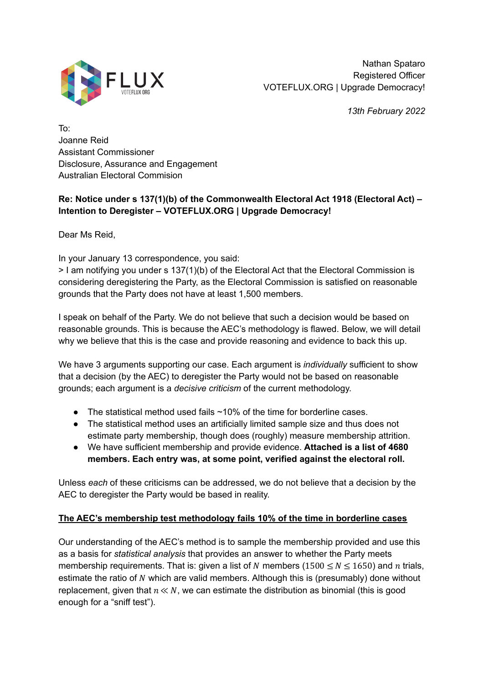

Nathan Spataro Registered Officer VOTEFLUX.ORG | Upgrade Democracy!

*13th February 2022*

To: Joanne Reid Assistant Commissioner Disclosure, Assurance and Engagement Australian Electoral Commision

# **Re: Notice under s 137(1)(b) of the Commonwealth Electoral Act 1918 (Electoral Act) – Intention to Deregister – VOTEFLUX.ORG | Upgrade Democracy!**

Dear Ms Reid,

In your January 13 correspondence, you said:

> I am notifying you under s 137(1)(b) of the Electoral Act that the Electoral Commission is considering deregistering the Party, as the Electoral Commission is satisfied on reasonable grounds that the Party does not have at least 1,500 members.

I speak on behalf of the Party. We do not believe that such a decision would be based on reasonable grounds. This is because the AEC's methodology is flawed. Below, we will detail why we believe that this is the case and provide reasoning and evidence to back this up.

We have 3 arguments supporting our case. Each argument is *individually* sufficient to show that a decision (by the AEC) to deregister the Party would not be based on reasonable grounds; each argument is a *decisive criticism* of the current methodology.

- $\bullet$  The statistical method used fails  $\sim$ 10% of the time for borderline cases.
- The statistical method uses an artificially limited sample size and thus does not estimate party membership, though does (roughly) measure membership attrition.
- We have sufficient membership and provide evidence. **Attached is a list of 4680 members. Each entry was, at some point, verified against the electoral roll.**

Unless *each* of these criticisms can be addressed, we do not believe that a decision by the AEC to deregister the Party would be based in reality.

### **The AEC's membership test methodology fails 10% of the time in borderline cases**

Our understanding of the AEC's method is to sample the membership provided and use this as a basis for *statistical analysis* that provides an answer to whether the Party meets membership requirements. That is: given a list of N members ( $1500 \le N \le 1650$ ) and n trials, estimate the ratio of N which are valid members. Although this is (presumably) done without replacement, given that  $n \ll N$ , we can estimate the distribution as binomial (this is good enough for a "sniff test").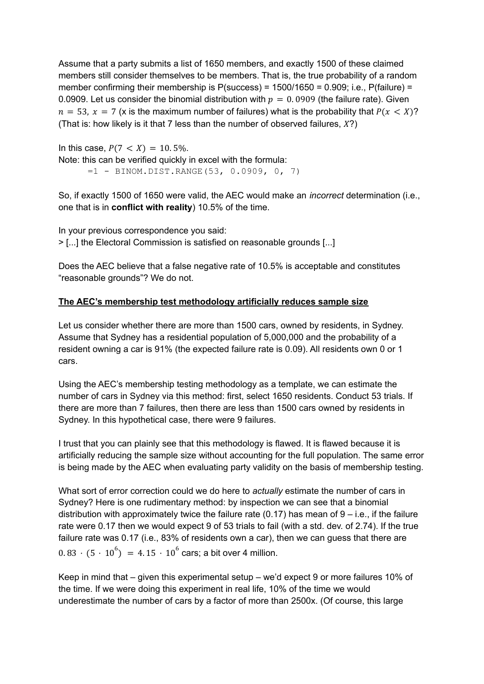Assume that a party submits a list of 1650 members, and exactly 1500 of these claimed members still consider themselves to be members. That is, the true probability of a random member confirming their membership is  $P$ (success) = 1500/1650 = 0.909; i.e.,  $P$ (failure) = 0.0909. Let us consider the binomial distribution with  $p = 0.0909$  (the failure rate). Given  $n = 53$ ,  $x = 7$  (x is the maximum number of failures) what is the probability that  $P(x \leq X)$ ? (That is: how likely is it that 7 less than the number of observed failures,  $X$ ?)

In this case,  $P(7 < X) = 10.5\%$ . Note: this can be verified quickly in excel with the formula: =1 - BINOM.DIST.RANGE(53, 0.0909, 0, 7)

So, if exactly 1500 of 1650 were valid, the AEC would make an *incorrect* determination (i.e., one that is in **conflict with reality**) 10.5% of the time.

In your previous correspondence you said: > [...] the Electoral Commission is satisfied on reasonable grounds [...]

Does the AEC believe that a false negative rate of 10.5% is acceptable and constitutes "reasonable grounds"? We do not.

## **The AEC's membership test methodology artificially reduces sample size**

Let us consider whether there are more than 1500 cars, owned by residents, in Sydney. Assume that Sydney has a residential population of 5,000,000 and the probability of a resident owning a car is 91% (the expected failure rate is 0.09). All residents own 0 or 1 cars.

Using the AEC's membership testing methodology as a template, we can estimate the number of cars in Sydney via this method: first, select 1650 residents. Conduct 53 trials. If there are more than 7 failures, then there are less than 1500 cars owned by residents in Sydney. In this hypothetical case, there were 9 failures.

I trust that you can plainly see that this methodology is flawed. It is flawed because it is artificially reducing the sample size without accounting for the full population. The same error is being made by the AEC when evaluating party validity on the basis of membership testing.

What sort of error correction could we do here to *actually* estimate the number of cars in Sydney? Here is one rudimentary method: by inspection we can see that a binomial distribution with approximately twice the failure rate (0.17) has mean of  $9 - i.e.,$  if the failure rate were 0.17 then we would expect 9 of 53 trials to fail (with a std. dev. of 2.74). If the true failure rate was 0.17 (i.e., 83% of residents own a car), then we can quess that there are  $0.83 \cdot (5 \cdot 10^6) = 4.15 \cdot 10^6$  cars; a bit over 4 million.

Keep in mind that – given this experimental setup – we'd expect 9 or more failures 10% of the time. If we were doing this experiment in real life, 10% of the time we would underestimate the number of cars by a factor of more than 2500x. (Of course, this large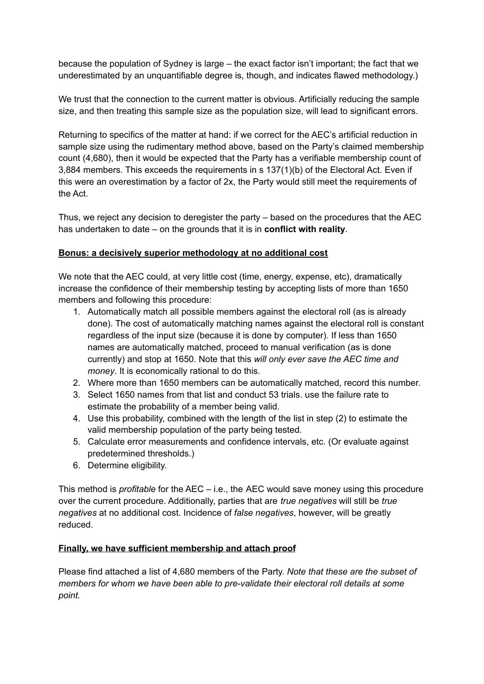because the population of Sydney is large – the exact factor isn't important; the fact that we underestimated by an unquantifiable degree is, though, and indicates flawed methodology.)

We trust that the connection to the current matter is obvious. Artificially reducing the sample size, and then treating this sample size as the population size, will lead to significant errors.

Returning to specifics of the matter at hand: if we correct for the AEC's artificial reduction in sample size using the rudimentary method above, based on the Party's claimed membership count (4,680), then it would be expected that the Party has a verifiable membership count of 3,884 members. This exceeds the requirements in s 137(1)(b) of the Electoral Act. Even if this were an overestimation by a factor of 2x, the Party would still meet the requirements of the Act.

Thus, we reject any decision to deregister the party – based on the procedures that the AEC has undertaken to date – on the grounds that it is in **conflict with reality**.

### **Bonus: a decisively superior methodology at no additional cost**

We note that the AEC could, at very little cost (time, energy, expense, etc), dramatically increase the confidence of their membership testing by accepting lists of more than 1650 members and following this procedure:

- 1. Automatically match all possible members against the electoral roll (as is already done). The cost of automatically matching names against the electoral roll is constant regardless of the input size (because it is done by computer). If less than 1650 names are automatically matched, proceed to manual verification (as is done currently) and stop at 1650. Note that this *will only ever save the AEC time and money*. It is economically rational to do this.
- 2. Where more than 1650 members can be automatically matched, record this number.
- 3. Select 1650 names from that list and conduct 53 trials. use the failure rate to estimate the probability of a member being valid.
- 4. Use this probability, combined with the length of the list in step (2) to estimate the valid membership population of the party being tested.
- 5. Calculate error measurements and confidence intervals, etc. (Or evaluate against predetermined thresholds.)
- 6. Determine eligibility.

This method is *profitable* for the AEC – i.e., the AEC would save money using this procedure over the current procedure. Additionally, parties that are *true negatives* will still be *true negatives* at no additional cost. Incidence of *false negatives*, however, will be greatly reduced.

### **Finally, we have sufficient membership and attach proof**

Please find attached a list of 4,680 members of the Party. *Note that these are the subset of members for whom we have been able to pre-validate their electoral roll details at some point.*